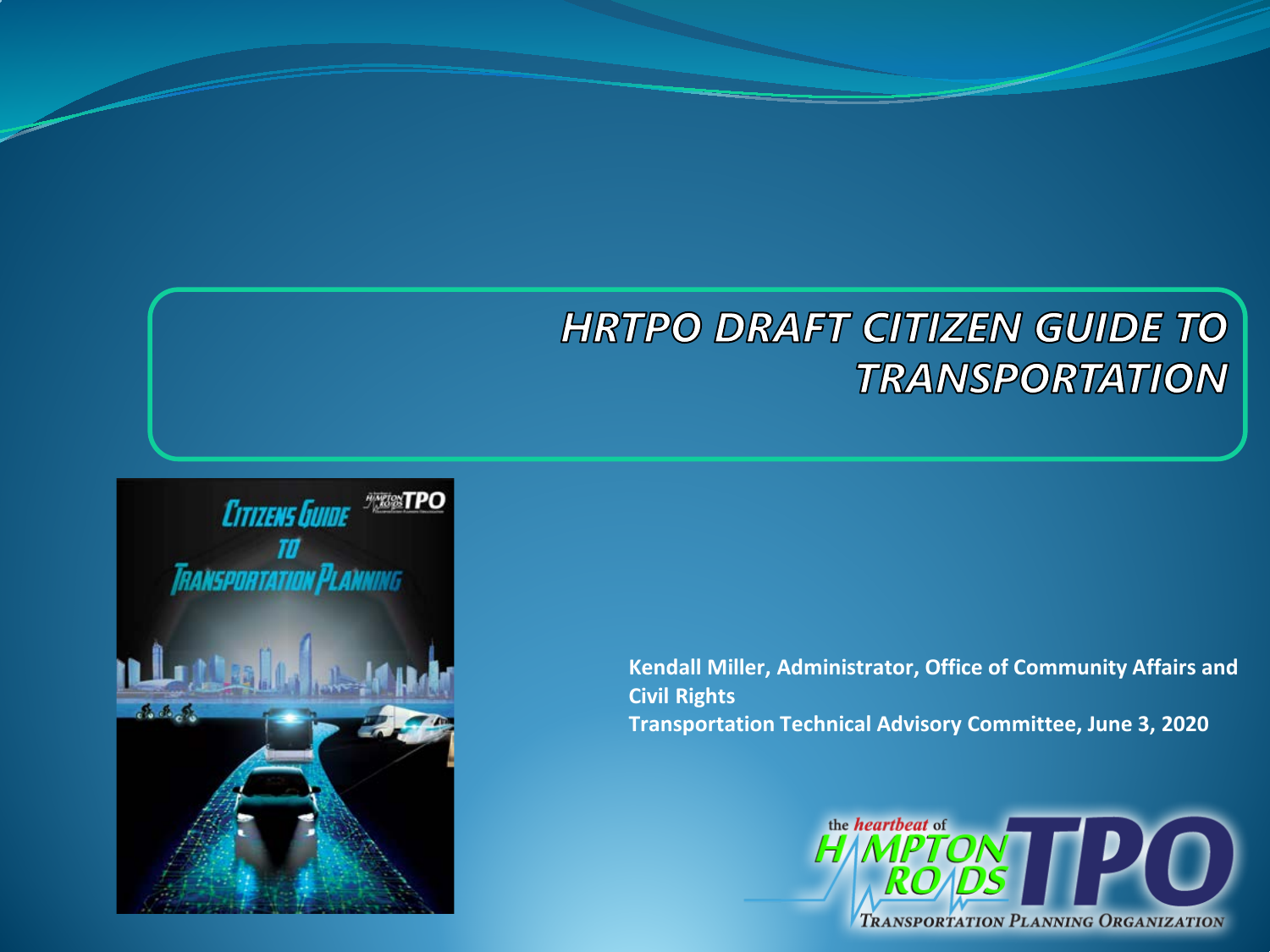#### **HRTPO DRAFT CITIZEN GUIDE TO TRANSPORTATION**



**Kendall Miller, Administrator, Office of Community Affairs and Civil Rights Transportation Technical Advisory Committee, June 3, 2020**

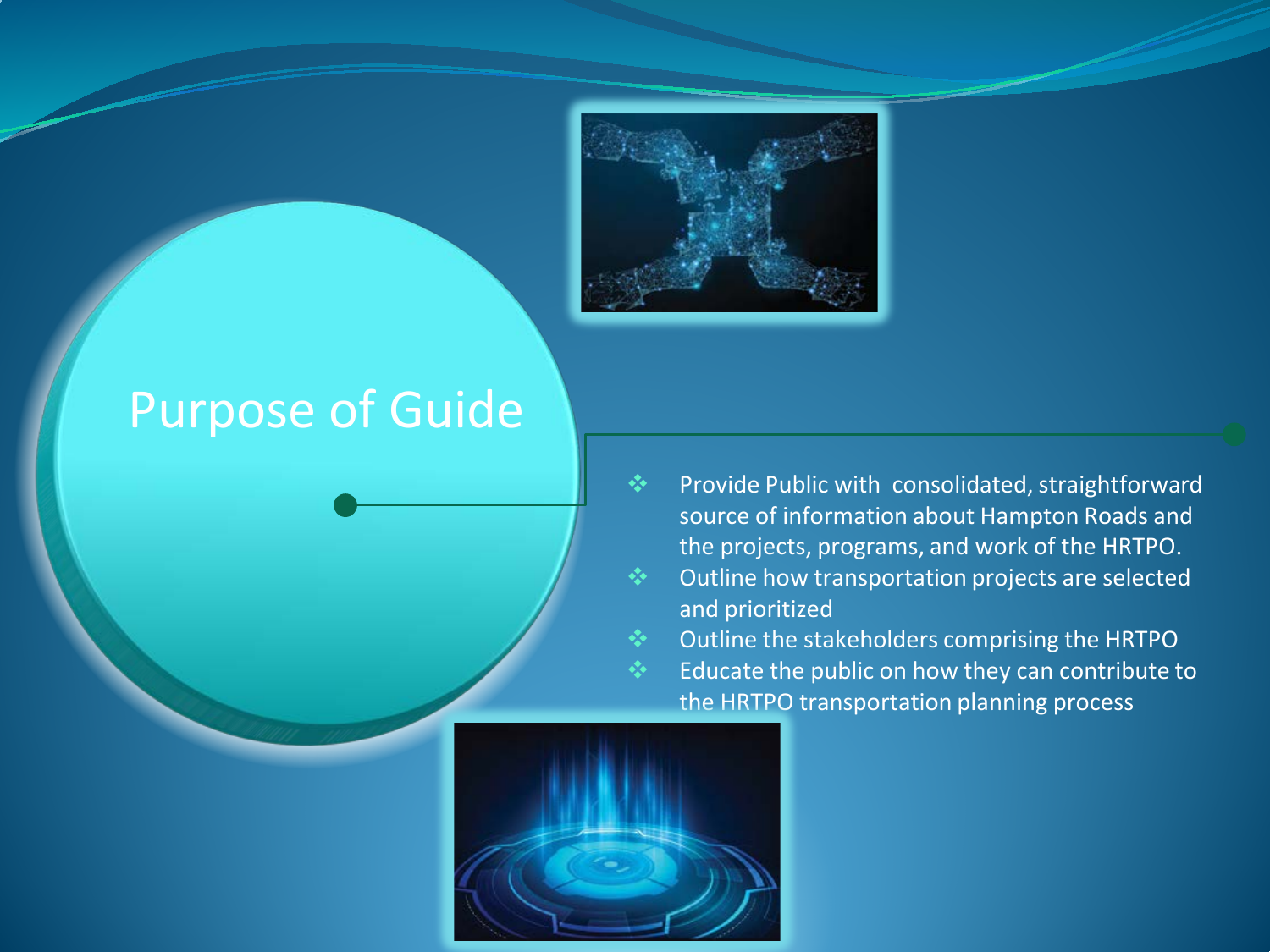

### Purpose of Guide

- Provide Public with consolidated, straightforward source of information about Hampton Roads and the projects, programs, and work of the HRTPO. Outline how transportation projects are selected and prioritized
- Outline the stakeholders comprising the HRTPO Educate the public on how they can contribute to the HRTPO transportation planning process

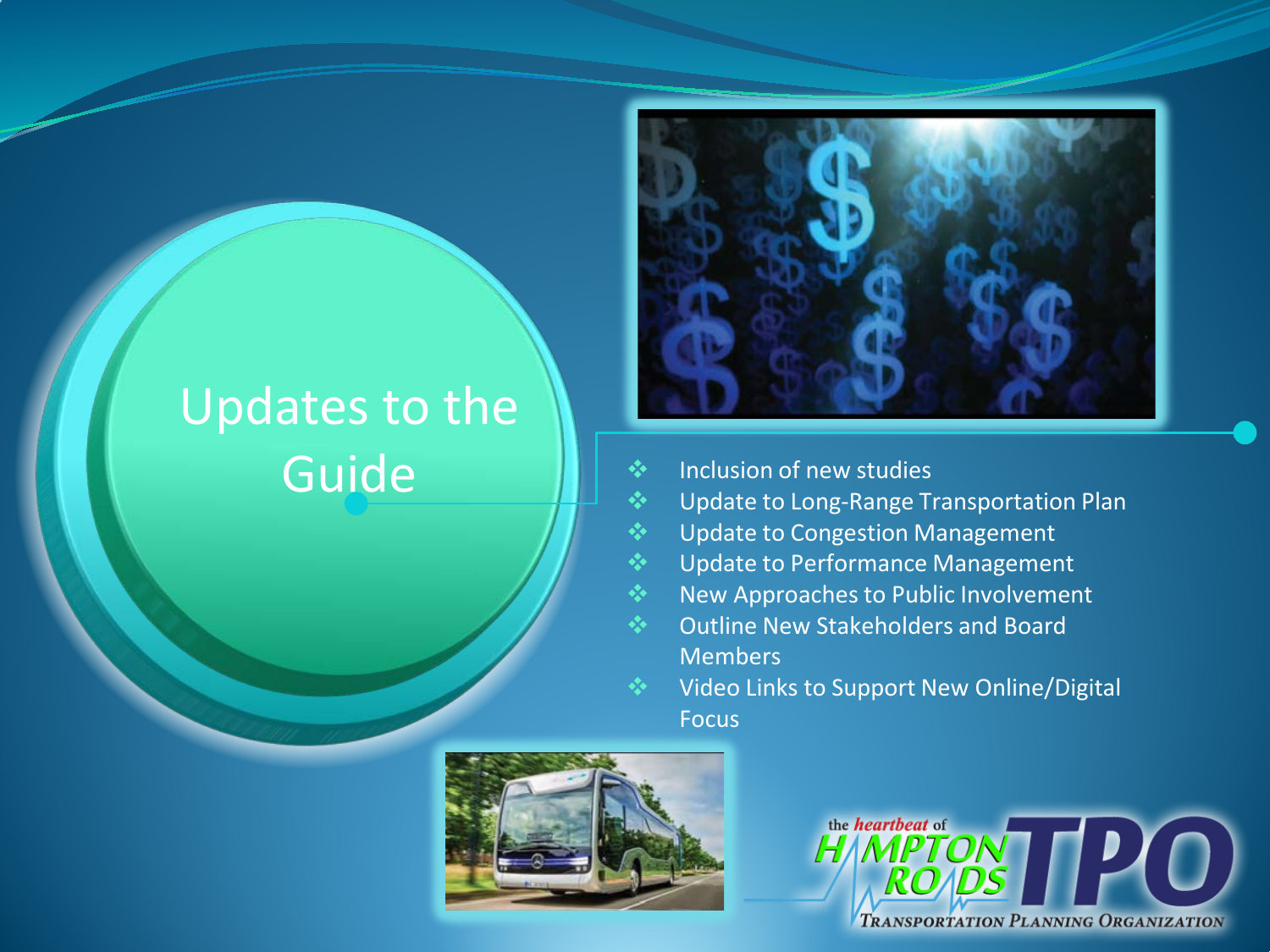## Updates to the Guide **Inclusion of new studies**



- 
- Update to Long-Range Transportation Plan
- Update to Congestion Management
- Update to Performance Management
- New Approaches to Public Involvement
- Outline New Stakeholders and Board Members
	- Video Links to Support New Online/Digital Focus



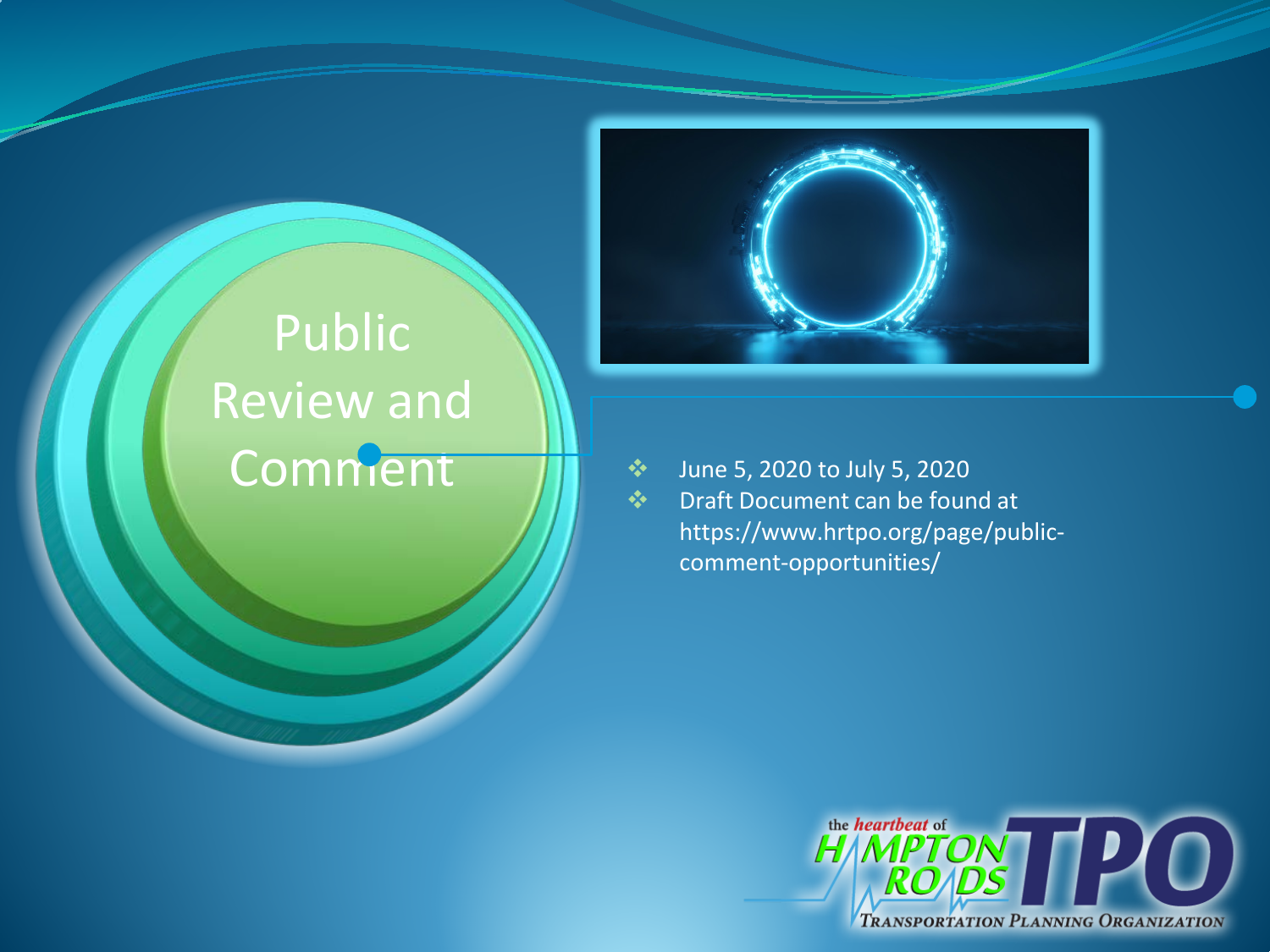# Public Review and

Comment  $\sum_{\text{Draft Document can be four}}$  Draft Document can be found at https://www.hrtpo.org/page/publiccomment-opportunities/